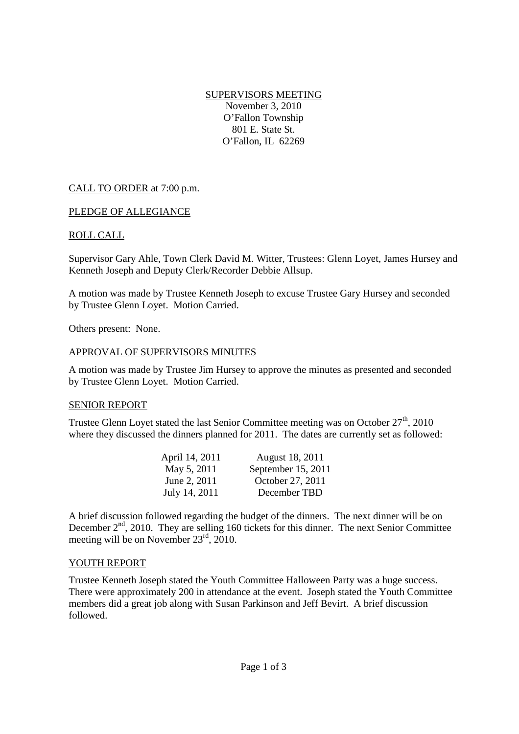SUPERVISORS MEETING November 3, 2010 O'Fallon Township 801 E. State St. O'Fallon, IL 62269

## CALL TO ORDER at 7:00 p.m.

#### PLEDGE OF ALLEGIANCE

## ROLL CALL

Supervisor Gary Ahle, Town Clerk David M. Witter, Trustees: Glenn Loyet, James Hursey and Kenneth Joseph and Deputy Clerk/Recorder Debbie Allsup.

A motion was made by Trustee Kenneth Joseph to excuse Trustee Gary Hursey and seconded by Trustee Glenn Loyet. Motion Carried.

Others present: None.

#### APPROVAL OF SUPERVISORS MINUTES

A motion was made by Trustee Jim Hursey to approve the minutes as presented and seconded by Trustee Glenn Loyet. Motion Carried.

#### SENIOR REPORT

Trustee Glenn Loyet stated the last Senior Committee meeting was on October  $27<sup>th</sup>$ , 2010 where they discussed the dinners planned for 2011. The dates are currently set as followed:

| April 14, 2011 | August 18, 2011    |
|----------------|--------------------|
| May 5, 2011    | September 15, 2011 |
| June 2, 2011   | October 27, 2011   |
| July 14, 2011  | December TBD       |

A brief discussion followed regarding the budget of the dinners. The next dinner will be on December  $2<sup>nd</sup>$ , 2010. They are selling 160 tickets for this dinner. The next Senior Committee meeting will be on November 23<sup>rd</sup>, 2010.

#### YOUTH REPORT

Trustee Kenneth Joseph stated the Youth Committee Halloween Party was a huge success. There were approximately 200 in attendance at the event. Joseph stated the Youth Committee members did a great job along with Susan Parkinson and Jeff Bevirt. A brief discussion followed.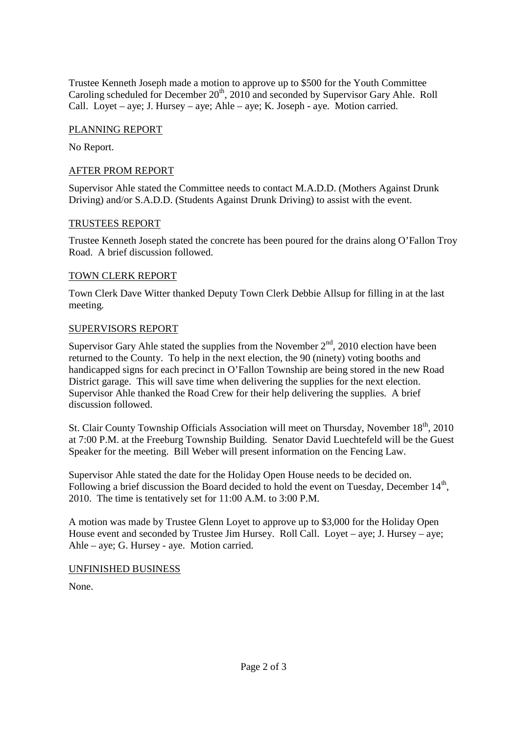Trustee Kenneth Joseph made a motion to approve up to \$500 for the Youth Committee Caroling scheduled for December  $20<sup>th</sup>$ , 2010 and seconded by Supervisor Gary Ahle. Roll Call. Loyet – aye; J. Hursey – aye; Ahle – aye; K. Joseph - aye. Motion carried.

## PLANNING REPORT

No Report.

## AFTER PROM REPORT

Supervisor Ahle stated the Committee needs to contact M.A.D.D. (Mothers Against Drunk Driving) and/or S.A.D.D. (Students Against Drunk Driving) to assist with the event.

## TRUSTEES REPORT

Trustee Kenneth Joseph stated the concrete has been poured for the drains along O'Fallon Troy Road. A brief discussion followed.

## TOWN CLERK REPORT

Town Clerk Dave Witter thanked Deputy Town Clerk Debbie Allsup for filling in at the last meeting.

## SUPERVISORS REPORT

Supervisor Gary Ahle stated the supplies from the November  $2<sup>nd</sup>$ , 2010 election have been returned to the County. To help in the next election, the 90 (ninety) voting booths and handicapped signs for each precinct in O'Fallon Township are being stored in the new Road District garage. This will save time when delivering the supplies for the next election. Supervisor Ahle thanked the Road Crew for their help delivering the supplies. A brief discussion followed.

St. Clair County Township Officials Association will meet on Thursday, November 18<sup>th</sup>, 2010 at 7:00 P.M. at the Freeburg Township Building. Senator David Luechtefeld will be the Guest Speaker for the meeting. Bill Weber will present information on the Fencing Law.

Supervisor Ahle stated the date for the Holiday Open House needs to be decided on. Following a brief discussion the Board decided to hold the event on Tuesday, December  $14<sup>th</sup>$ , 2010. The time is tentatively set for 11:00 A.M. to 3:00 P.M.

A motion was made by Trustee Glenn Loyet to approve up to \$3,000 for the Holiday Open House event and seconded by Trustee Jim Hursey. Roll Call. Loyet – aye; J. Hursey – aye; Ahle – aye; G. Hursey - aye. Motion carried.

#### UNFINISHED BUSINESS

None.